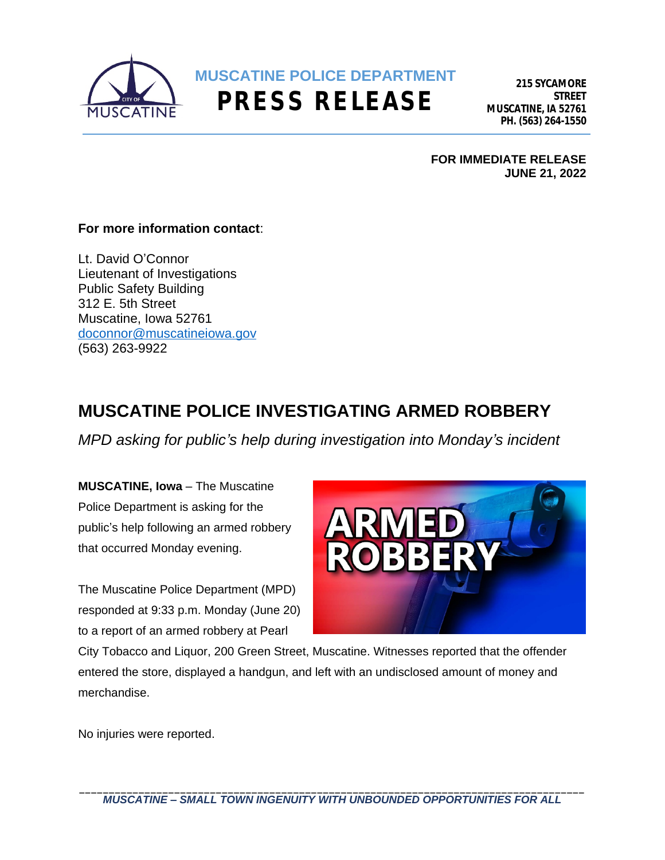

**215 SYCAMORE STREET MUSCATINE, IA 52761 PH. (563) 264-1550**

**FOR IMMEDIATE RELEASE JUNE 21, 2022**

## **For more information contact**:

Lt. David O'Connor Lieutenant of Investigations Public Safety Building 312 E. 5th Street Muscatine, Iowa 52761 [doconnor@muscatineiowa.gov](mailto:doconnor@muscatineiowa.gov) [\(563\) 263-9922](mailto:doconnor@muscatineiowa.gov)

## **[MUSCATINE POLICE INVESTIGATING ARMED ROBBERY](mailto:doconnor@muscatineiowa.gov)**

*MPD asking for public'[s help during investigation into Monday](mailto:doconnor@muscatineiowa.gov)'s incident*

**[MUSCATINE, Iowa](mailto:doconnor@muscatineiowa.gov)** – [The Muscatine](mailto:doconnor@muscatineiowa.gov)  [Police Department is asking for the](mailto:doconnor@muscatineiowa.gov)  public'[s help following an armed robbery](mailto:doconnor@muscatineiowa.gov)  [that occurred Monday evening.](mailto:doconnor@muscatineiowa.gov)

[The Muscatine Police Department \(MPD\)](mailto:doconnor@muscatineiowa.gov)  [responded at 9:33 p.m. Monday \(June 20\)](mailto:doconnor@muscatineiowa.gov) [to a report of an armed robbery at Pearl](mailto:doconnor@muscatineiowa.gov) 



[City Tobacco and Liquor, 200 Green Street, Muscatine. Witnesses reported that the offender](mailto:doconnor@muscatineiowa.gov)  [entered the store, displayed a handgun, and left with an undisclosed amount of money and](mailto:doconnor@muscatineiowa.gov)  [merchandise.](mailto:doconnor@muscatineiowa.gov)

[No injuries were reported.](mailto:doconnor@muscatineiowa.gov)